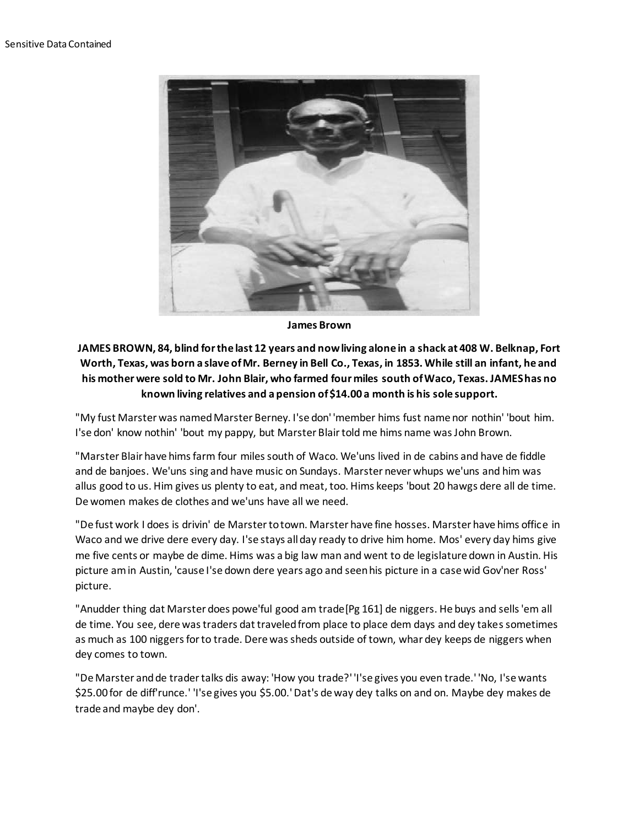

**James Brown**

## **JAMES BROWN, 84, blind for the last 12 years and now living alone in a shack at 408 W. Belknap, Fort Worth, Texas, was born a slave of Mr. Berney in Bell Co., Texas, in 1853. While still an infant, he and his mother were sold to Mr. John Blair, who farmed four miles south of Waco, Texas. JAMES has no known living relatives and a pension of \$14.00 a month is his sole support.**

"My fust Marster was named Marster Berney. I'se don' 'member hims fust name nor nothin' 'bout him. I'se don' know nothin' 'bout my pappy, but Marster Blair told me hims name was John Brown.

"Marster Blair have hims farm four miles south of Waco. We'uns lived in de cabins and have de fiddle and de banjoes. We'uns sing and have music on Sundays. Marster never whups we'uns and him was allus good to us. Him gives us plenty to eat, and meat, too. Hims keeps 'bout 20 hawgs dere all de time. De women makes de clothes and we'uns have all we need.

"De fust work I does is drivin' de Marster to town. Marster have fine hosses. Marster have hims office in Waco and we drive dere every day. I'se stays all day ready to drive him home. Mos' every day hims give me five cents or maybe de dime. Hims was a big law man and went to de legislature down in Austin. His picture am in Austin, 'cause I'se down dere years ago and seen his picture in a case wid Gov'ner Ross' picture.

"Anudder thing dat Marster does powe'ful good am trade[Pg 161] de niggers. He buys and sells 'em all de time. You see, dere was traders dat traveled from place to place dem days and dey takes sometimes as much as 100 niggers for to trade. Dere was sheds outside of town, whar dey keeps de niggers when dey comes to town.

"De Marster and de trader talks dis away: 'How you trade?' 'I'se gives you even trade.' 'No, I'se wants \$25.00 for de diff'runce.' 'I'se gives you \$5.00.' Dat's de way dey talks on and on. Maybe dey makes de trade and maybe dey don'.